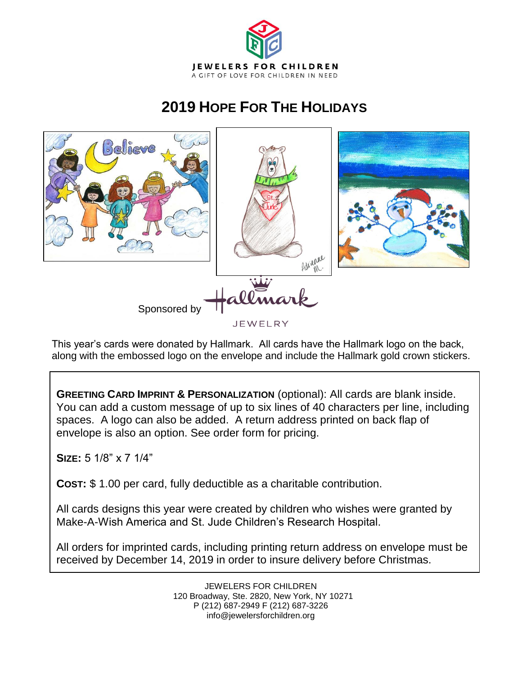

# **2019 HOPE FOR THE HOLIDAYS**



 This year's cards were donated by Hallmark. All cards have the Hallmark logo on the back, along with the embossed logo on the envelope and include the Hallmark gold crown stickers.

**GREETING CARD IMPRINT & PERSONALIZATION** (optional): All cards are blank inside. You can add a custom message of up to six lines of 40 characters per line, including spaces. A logo can also be added. A return address printed on back flap of envelope is also an option. See order form for pricing.

**SIZE:** 5 1/8" x 7 1/4"

**COST:** \$ 1.00 per card, fully deductible as a charitable contribution.

All cards designs this year were created by children who wishes were granted by Make-A-Wish America and St. Jude Children's Research Hospital.

All orders for imprinted cards, including printing return address on envelope must be received by December 14, 2019 in order to insure delivery before Christmas.

> JEWELERS FOR CHILDREN 120 Broadway, Ste. 2820, New York, NY 10271 P (212) 687-2949 F (212) 687-3226 info@jewelersforchildren.org